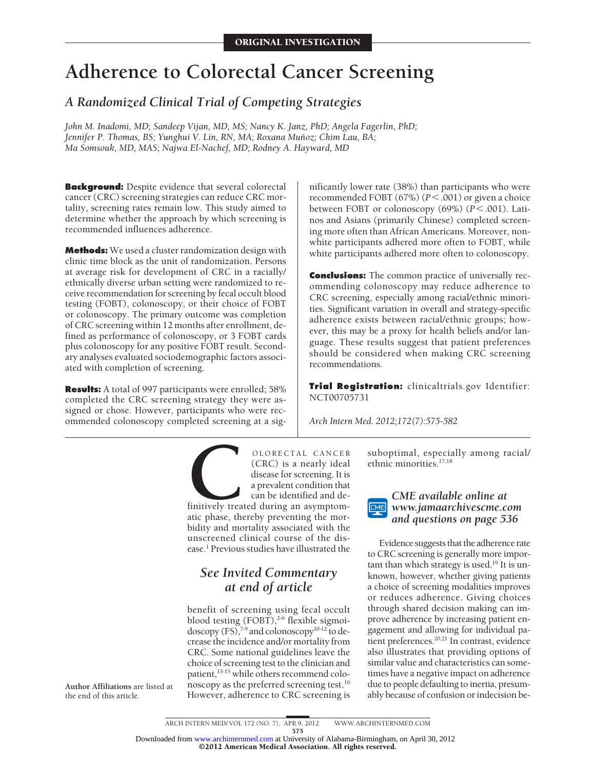# **Adherence to Colorectal Cancer Screening**

# *A Randomized Clinical Trial of Competing Strategies*

*John M. Inadomi, MD; Sandeep Vijan, MD, MS; Nancy K. Janz, PhD; Angela Fagerlin, PhD;* Jennifer P. Thomas, BS; Yunghui V. Lin, RN, MA; Roxana Muñoz; Chim Lau, BA; *Ma Somsouk, MD, MAS; Najwa El-Nachef, MD; Rodney A. Hayward, MD*

**Background:** Despite evidence that several colorectal cancer (CRC) screening strategies can reduce CRC mortality, screening rates remain low. This study aimed to determine whether the approach by which screening is recommended influences adherence.

**Methods:** We used a cluster randomization design with clinic time block as the unit of randomization. Persons at average risk for development of CRC in a racially/ ethnically diverse urban setting were randomized to receive recommendation for screening by fecal occult blood testing (FOBT), colonoscopy, or their choice of FOBT or colonoscopy. The primary outcome was completion of CRC screening within 12 months after enrollment, defined as performance of colonoscopy, or 3 FOBT cards plus colonoscopy for any positive FOBT result. Secondary analyses evaluated sociodemographic factors associated with completion of screening.

**Results:** A total of 997 participants were enrolled; 58% completed the CRC screening strategy they were assigned or chose. However, participants who were recommended colonoscopy completed screening at a significantly lower rate (38%) than participants who were recommended FOBT (67%) ( $P$ <.001) or given a choice between FOBT or colonoscopy (69%) (*P*-.001). Latinos and Asians (primarily Chinese) completed screening more often than African Americans. Moreover, nonwhite participants adhered more often to FOBT, while white participants adhered more often to colonoscopy.

**Conclusions:** The common practice of universally recommending colonoscopy may reduce adherence to CRC screening, especially among racial/ethnic minorities. Significant variation in overall and strategy-specific adherence exists between racial/ethnic groups; however, this may be a proxy for health beliefs and/or language. These results suggest that patient preferences should be considered when making CRC screening recommendations.

**Trial Registration:** clinicaltrials.gov Identifier: NCT00705731

*Arch Intern Med. 2012;172(7):575-582*

**COLORECTAL CANCER**<br>
(CRC) is a nearly ideal<br>
disease for screening. It is<br>
a prevalent condition that<br>
can be identified and de-<br>
finitively treated during an asymptom-<br>
atic phase, thereby preventing the mor-(CRC) is a nearly ideal disease for screening. It is a prevalent condition that can be identified and definitively treated during an asymptomatic phase, thereby preventing the morbidity and mortality associated with the unscreened clinical course of the disease.1 Previous studies have illustrated the

# *See Invited Commentary at end of article*

benefit of screening using fecal occult blood testing (FOBT),<sup>2-6</sup> flexible sigmoidoscopy  $(FS)$ ,<sup>7-9</sup> and colonoscopy<sup>10-12</sup> to decrease the incidence and/or mortality from CRC. Some national guidelines leave the choice of screening test to the clinician and patient,<sup>13-15</sup> while others recommend colonoscopy as the preferred screening test.16 However, adherence to CRC screening is

suboptimal, especially among racial/ ethnic minorities.17,18

#### *CME available online at* **EME** *www.jamaarchivescme.com and questions on page 536*

Evidence suggests that the adherence rate to CRC screening is generally more important than which strategy is used.<sup>19</sup> It is unknown, however, whether giving patients a choice of screening modalities improves or reduces adherence. Giving choices through shared decision making can improve adherence by increasing patient engagement and allowing for individual patient preferences.<sup>20,21</sup> In contrast, evidence also illustrates that providing options of similar value and characteristics can sometimes have a negative impact on adherence due to people defaulting to inertia, presumably because of confusion or indecision be-

**Author Affiliations** are listed at the end of this article.

575

Downloaded from [www.archinternmed.com](http://www.archinternmed.com) at University of Alabama-Birmingham, on April 30, 2012<br>©2012 American Medical Association. All rights reserved.

ARCH INTERN MED/ VOL 172 (NO. 7), APR 9, 2012 WWW.ARCHINTERNMED.COM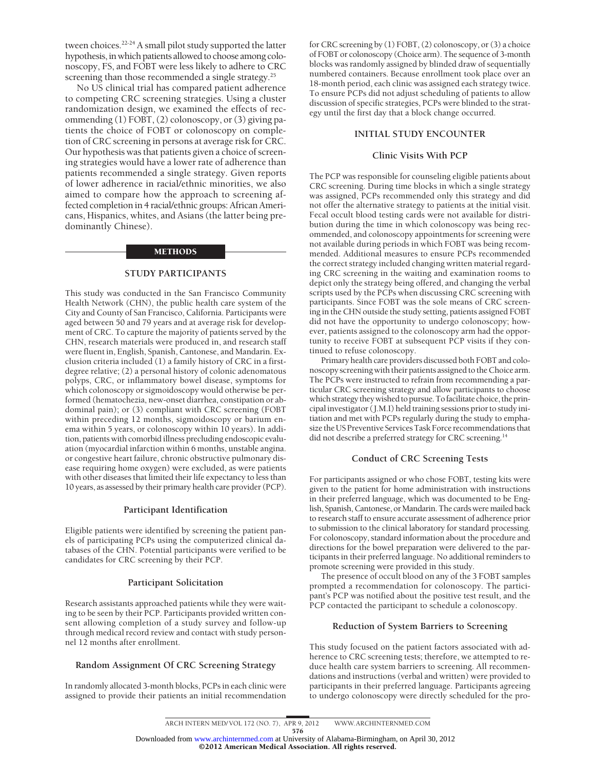tween choices. $22-24$  A small pilot study supported the latter hypothesis, in which patients allowed to choose among colonoscopy, FS, and FOBT were less likely to adhere to CRC screening than those recommended a single strategy.<sup>25</sup>

No US clinical trial has compared patient adherence to competing CRC screening strategies. Using a cluster randomization design, we examined the effects of recommending (1) FOBT, (2) colonoscopy, or (3) giving patients the choice of FOBT or colonoscopy on completion of CRC screening in persons at average risk for CRC. Our hypothesis was that patients given a choice of screening strategies would have a lower rate of adherence than patients recommended a single strategy. Given reports of lower adherence in racial/ethnic minorities, we also aimed to compare how the approach to screening affected completion in 4 racial/ethnic groups: African Americans, Hispanics, whites, and Asians (the latter being predominantly Chinese).

#### METHODS

#### **STUDY PARTICIPANTS**

This study was conducted in the San Francisco Community Health Network (CHN), the public health care system of the City and County of San Francisco, California. Participants were aged between 50 and 79 years and at average risk for development of CRC. To capture the majority of patients served by the CHN, research materials were produced in, and research staff were fluent in, English, Spanish, Cantonese, and Mandarin. Exclusion criteria included (1) a family history of CRC in a firstdegree relative; (2) a personal history of colonic adenomatous polyps, CRC, or inflammatory bowel disease, symptoms for which colonoscopy or sigmoidoscopy would otherwise be performed (hematochezia, new-onset diarrhea, constipation or abdominal pain); or (3) compliant with CRC screening (FOBT within preceding 12 months, sigmoidoscopy or barium enema within 5 years, or colonoscopy within 10 years). In addition, patients with comorbid illness precluding endoscopic evaluation (myocardial infarction within 6 months, unstable angina. or congestive heart failure, chronic obstructive pulmonary disease requiring home oxygen) were excluded, as were patients with other diseases that limited their life expectancy to less than 10 years, as assessed by their primary health care provider (PCP).

#### **Participant Identification**

Eligible patients were identified by screening the patient panels of participating PCPs using the computerized clinical databases of the CHN. Potential participants were verified to be candidates for CRC screening by their PCP.

#### **Participant Solicitation**

Research assistants approached patients while they were waiting to be seen by their PCP. Participants provided written consent allowing completion of a study survey and follow-up through medical record review and contact with study personnel 12 months after enrollment.

### **Random Assignment Of CRC Screening Strategy**

In randomly allocated 3-month blocks, PCPs in each clinic were assigned to provide their patients an initial recommendation for CRC screening by (1) FOBT, (2) colonoscopy, or (3) a choice of FOBT or colonoscopy (Choice arm). The sequence of 3-month blocks was randomly assigned by blinded draw of sequentially numbered containers. Because enrollment took place over an 18-month period, each clinic was assigned each strategy twice. To ensure PCPs did not adjust scheduling of patients to allow discussion of specific strategies, PCPs were blinded to the strategy until the first day that a block change occurred.

#### **INITIAL STUDY ENCOUNTER**

#### **Clinic Visits With PCP**

The PCP was responsible for counseling eligible patients about CRC screening. During time blocks in which a single strategy was assigned, PCPs recommended only this strategy and did not offer the alternative strategy to patients at the initial visit. Fecal occult blood testing cards were not available for distribution during the time in which colonoscopy was being recommended, and colonoscopy appointments for screening were not available during periods in which FOBT was being recommended. Additional measures to ensure PCPs recommended the correct strategy included changing written material regarding CRC screening in the waiting and examination rooms to depict only the strategy being offered, and changing the verbal scripts used by the PCPs when discussing CRC screening with participants. Since FOBT was the sole means of CRC screening in the CHN outside the study setting, patients assigned FOBT did not have the opportunity to undergo colonoscopy; however, patients assigned to the colonoscopy arm had the opportunity to receive FOBT at subsequent PCP visits if they continued to refuse colonoscopy.

Primary health care providers discussed both FOBT and colonoscopy screening with their patients assigned to theChoice arm. The PCPs were instructed to refrain from recommending a particular CRC screening strategy and allow participants to choose which strategy they wished to pursue. To facilitate choice, the principalinvestigator ( J.M.I) held training sessions prior to studyinitiation and met with PCPs regularly during the study to emphasize the US Preventive Services Task Force recommendations that did not describe a preferred strategy for CRC screening.<sup>14</sup>

#### **Conduct of CRC Screening Tests**

For participants assigned or who chose FOBT, testing kits were given to the patient for home administration with instructions in their preferred language, which was documented to be English, Spanish, Cantonese, or Mandarin. The cards were mailed back to research staff to ensure accurate assessment of adherence prior to submission to the clinical laboratory for standard processing. For colonoscopy, standard information about the procedure and directions for the bowel preparation were delivered to the participants in their preferred language. No additional reminders to promote screening were provided in this study.

The presence of occult blood on any of the 3 FOBT samples prompted a recommendation for colonoscopy. The participant's PCP was notified about the positive test result, and the PCP contacted the participant to schedule a colonoscopy.

#### **Reduction of System Barriers to Screening**

This study focused on the patient factors associated with adherence to CRC screening tests; therefore, we attempted to reduce health care system barriers to screening. All recommendations and instructions (verbal and written) were provided to participants in their preferred language. Participants agreeing to undergo colonoscopy were directly scheduled for the pro-

ARCH INTERN MED/ VOL 172 (NO. 7), APR 9, 2012 WWW.ARCHINTERNMED.COM

576

©2012 American Medical Association. All rights reserved. Downloaded from [www.archinternmed.com](http://www.archinternmed.com) at University of Alabama-Birmingham, on April 30, 2012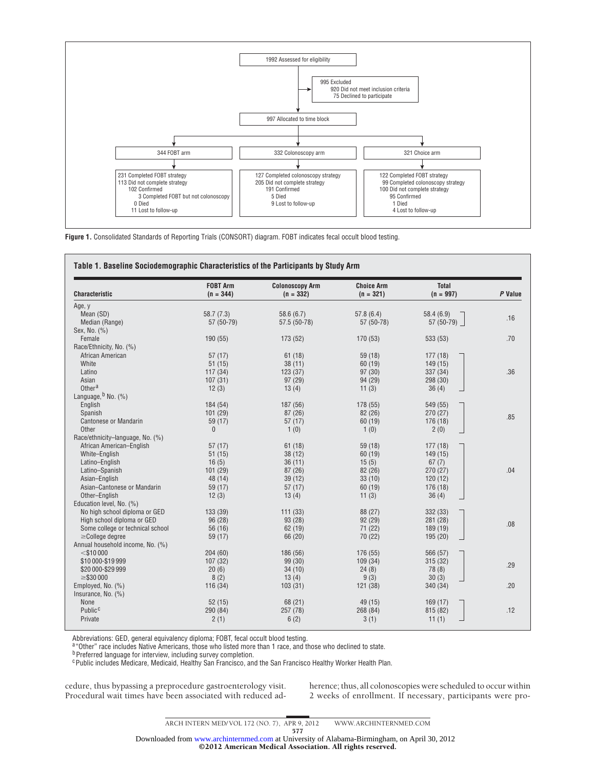

**Figure 1.** Consolidated Standards of Reporting Trials (CONSORT) diagram. FOBT indicates fecal occult blood testing.

| <b>Characteristic</b>            | <b>FOBT Arm</b><br>$(n = 344)$ | <b>Colonoscopy Arm</b><br>$(n = 332)$ | <b>Choice Arm</b><br>$(n = 321)$ | <b>Total</b><br>$(n = 997)$ | P Value |
|----------------------------------|--------------------------------|---------------------------------------|----------------------------------|-----------------------------|---------|
| Age, y                           |                                |                                       |                                  |                             |         |
| Mean (SD)                        | 58.7(7.3)                      | 58.6 (6.7)                            | 57.8(6.4)                        | 58.4(6.9)                   | .16     |
| Median (Range)                   | 57 (50-79)                     | 57.5 (50-78)                          | 57 (50-78)                       | 57 (50-79)                  |         |
| Sex, No. (%)                     |                                |                                       |                                  |                             |         |
| Female                           | 190 (55)                       | 173 (52)                              | 170 (53)                         | 533 (53)                    | .70     |
| Race/Ethnicity, No. (%)          |                                |                                       |                                  |                             |         |
| African American                 | 57 (17)                        | 61(18)                                | 59 (18)                          | 177(18)                     |         |
| White                            | 51(15)                         | 38(11)                                | 60 (19)                          | 149 (15)                    |         |
| Latino                           | 117(34)                        | 123 (37)                              | 97 (30)                          | 337 (34)                    | .36     |
| Asian                            | 107(31)                        | 97 (29)                               | 94 (29)                          | 298 (30)                    |         |
| Other <sup>a</sup>               | 12(3)                          | 13(4)                                 | 11(3)                            | 36(4)                       |         |
| Language, <sup>b</sup> No. (%)   |                                |                                       |                                  |                             |         |
| English                          | 184 (54)                       | 187 (56)                              | 178 (55)                         | 549 (55)                    |         |
| Spanish                          | 101 (29)                       | 87(26)                                | 82 (26)                          | 270 (27)                    | .85     |
| Cantonese or Mandarin            | 59 (17)                        | 57(17)                                | 60 (19)                          | 176 (18)                    |         |
| Other                            | $\Omega$                       | 1(0)                                  | 1(0)                             | 2(0)                        |         |
| Race/ethnicity-language, No. (%) |                                |                                       |                                  |                             |         |
| African American-English         | 57(17)                         | 61(18)                                | 59 (18)                          | 177 (18)                    |         |
| White-English                    | 51(15)                         | 38 (12)                               | 60 (19)                          | 149 (15)                    |         |
| Latino-English                   | 16(5)                          | 36(11)                                | 15(5)                            | 67(7)                       |         |
| Latino-Spanish                   | 101 (29)                       | 87 (26)                               | 82 (26)                          | 270 (27)                    | .04     |
| Asian-English                    | 48 (14)                        | 39(12)                                | 33(10)                           | 120 (12)                    |         |
| Asian-Cantonese or Mandarin      | 59 (17)                        | 57(17)                                | 60(19)                           | 176 (18)                    |         |
| Other-English                    | 12(3)                          | 13(4)                                 | 11(3)                            | 36(4)                       |         |
| Education level, No. (%)         |                                |                                       |                                  |                             |         |
| No high school diploma or GED    | 133 (39)                       | 111(33)                               | 88 (27)                          | 332 (33)                    |         |
| High school diploma or GED       | 96 (28)                        | 93 (28)                               | 92 (29)                          | 281 (28)                    | .08     |
| Some college or technical school | 56 (16)                        | 62 (19)                               | 71 (22)                          | 189 (19)                    |         |
| $\geq$ College degree            | 59 (17)                        | 66 (20)                               | 70 (22)                          | 195 (20)                    |         |
| Annual household income, No. (%) |                                |                                       |                                  |                             |         |
| $<$ \$10000                      | 204 (60)                       | 186 (56)                              | 176 (55)                         | 566 (57)                    |         |
| \$10 000-\$19 999                | 107 (32)                       | 99 (30)                               | 109 (34)                         | 315 (32)                    |         |
| \$20 000-\$29 999                | 20(6)                          | 34(10)                                | 24(8)                            | 78(8)                       | .29     |
| $\geq$ \$30 000                  | 8(2)                           | 13(4)                                 | 9(3)                             | 30(3)                       |         |
| Employed, No. (%)                | 116 (34)                       | 103(31)                               | 121 (38)                         | 340 (34)                    | .20     |
| Insurance, No. (%)               |                                |                                       |                                  |                             |         |
| None                             | 52(15)                         | 68 (21)                               | 49 (15)                          | 169 (17)                    |         |
| Public <sup>c</sup>              | 290 (84)                       | 257 (78)                              | 268 (84)                         | 815 (82)                    | .12     |
| Private                          | 2(1)                           | 6(2)                                  | 3(1)                             | 11(1)                       |         |

Abbreviations: GED, general equivalency diploma; FOBT, fecal occult blood testing.

a "Other" race includes Native Americans, those who listed more than 1 race, and those who declined to state.

b Preferred language for interview, including survey completion.

cPublic includes Medicare, Medicaid, Healthy San Francisco, and the San Francisco Healthy Worker Health Plan.

cedure, thus bypassing a preprocedure gastroenterology visit. Procedural wait times have been associated with reduced adherence; thus, all colonoscopies were scheduled to occur within 2 weeks of enrollment. If necessary, participants were pro-

577

Downloaded from [www.archinternmed.com](http://www.archinternmed.com) at University of Alabama-Birmingham, on April 30, 2012<br>©2012 American Medical Association. All rights reserved.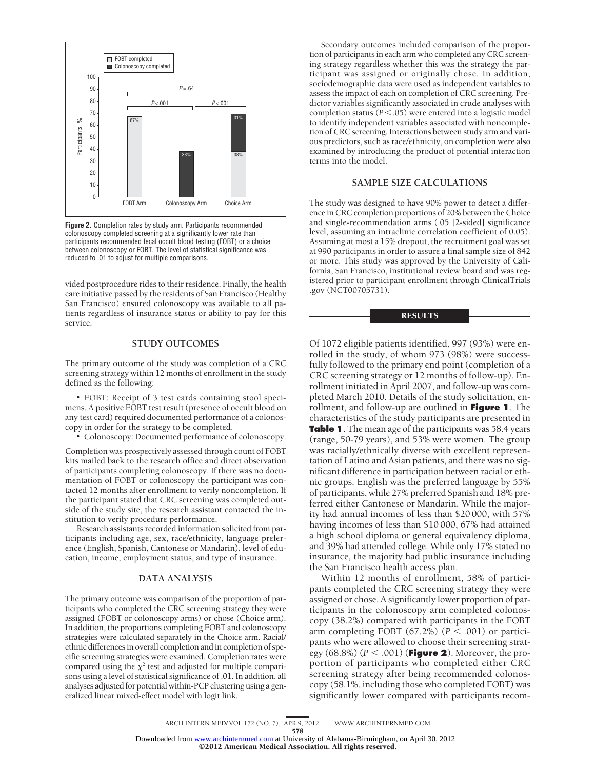

**Figure 2.** Completion rates by study arm. Participants recommended colonoscopy completed screening at a significantly lower rate than participants recommended fecal occult blood testing (FOBT) or a choice between colonoscopy or FOBT. The level of statistical significance was reduced to .01 to adjust for multiple comparisons.

vided postprocedure rides to their residence. Finally, the health care initiative passed by the residents of San Francisco (Healthy San Francisco) ensured colonoscopy was available to all patients regardless of insurance status or ability to pay for this service.

#### **STUDY OUTCOMES**

The primary outcome of the study was completion of a CRC screening strategy within 12 months of enrollment in the study defined as the following:

v FOBT: Receipt of 3 test cards containing stool specimens. A positive FOBT test result (presence of occult blood on any test card) required documented performance of a colonoscopy in order for the strategy to be completed.

v Colonoscopy: Documented performance of colonoscopy.

Completion was prospectively assessed through count of FOBT kits mailed back to the research office and direct observation of participants completing colonoscopy. If there was no documentation of FOBT or colonoscopy the participant was contacted 12 months after enrollment to verify noncompletion. If the participant stated that CRC screening was completed outside of the study site, the research assistant contacted the institution to verify procedure performance.

Research assistants recorded information solicited from participants including age, sex, race/ethnicity, language preference (English, Spanish, Cantonese or Mandarin), level of education, income, employment status, and type of insurance.

#### **DATA ANALYSIS**

The primary outcome was comparison of the proportion of participants who completed the CRC screening strategy they were assigned (FOBT or colonoscopy arms) or chose (Choice arm). In addition, the proportions completing FOBT and colonoscopy strategies were calculated separately in the Choice arm. Racial/ ethnic differences in overall completion and in completion of specific screening strategies were examined. Completion rates were compared using the  $\chi^2$  test and adjusted for multiple comparisons using a level of statistical significance of .01. In addition, all analyses adjusted for potential within-PCP clustering using a generalized linear mixed-effect model with logit link.

Secondary outcomes included comparison of the proportion of participants in each arm who completed any CRC screening strategy regardless whether this was the strategy the participant was assigned or originally chose. In addition, sociodemographic data were used as independent variables to assess the impact of each on completion of CRC screening. Predictor variables significantly associated in crude analyses with completion status (P<.05) were entered into a logistic model to identify independent variables associated with noncompletion of CRC screening. Interactions between study arm and various predictors, such as race/ethnicity, on completion were also examined by introducing the product of potential interaction terms into the model.

#### **SAMPLE SIZE CALCULATIONS**

The study was designed to have 90% power to detect a difference in CRC completion proportions of 20% between the Choice and single-recommendation arms (.05 [2-sided] significance level, assuming an intraclinic correlation coefficient of 0.05). Assuming at most a 15% dropout, the recruitment goal was set at 990 participants in order to assure a final sample size of 842 or more. This study was approved by the University of California, San Francisco, institutional review board and was registered prior to participant enrollment through ClinicalTrials .gov (NCT00705731).

## **RESULTS**

Of 1072 eligible patients identified, 997 (93%) were enrolled in the study, of whom 973 (98%) were successfully followed to the primary end point (completion of a CRC screening strategy or 12 months of follow-up). Enrollment initiated in April 2007, and follow-up was completed March 2010. Details of the study solicitation, enrollment, and follow-up are outlined in **Figure 1**. The characteristics of the study participants are presented in **Table 1**. The mean age of the participants was 58.4 years (range, 50-79 years), and 53% were women. The group was racially/ethnically diverse with excellent representation of Latino and Asian patients, and there was no significant difference in participation between racial or ethnic groups. English was the preferred language by 55% of participants, while 27% preferred Spanish and 18% preferred either Cantonese or Mandarin. While the majority had annual incomes of less than \$20 000, with 57% having incomes of less than \$10 000, 67% had attained a high school diploma or general equivalency diploma, and 39% had attended college. While only 17% stated no insurance, the majority had public insurance including the San Francisco health access plan.

Within 12 months of enrollment, 58% of participants completed the CRC screening strategy they were assigned or chose. A significantly lower proportion of participants in the colonoscopy arm completed colonoscopy (38.2%) compared with participants in the FOBT arm completing FOBT (67.2%) ( $P < .001$ ) or participants who were allowed to choose their screening strategy (68.8%) (*P* < .001) (**Figure 2**). Moreover, the proportion of participants who completed either CRC screening strategy after being recommended colonoscopy (58.1%, including those who completed FOBT) was significantly lower compared with participants recom-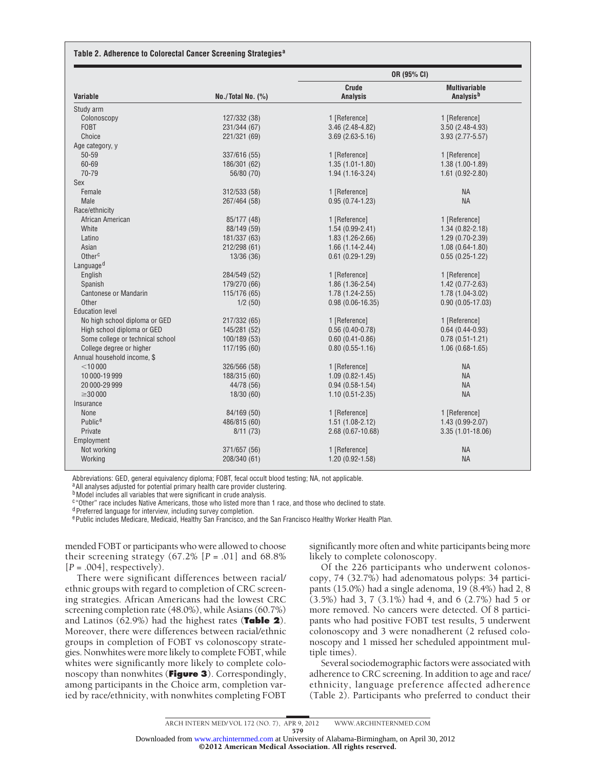#### **Table 2. Adherence to Colorectal Cancer Screening Strategies<sup>a</sup>**

|                                  |                      | OR (95% CI)              |                                               |  |
|----------------------------------|----------------------|--------------------------|-----------------------------------------------|--|
| Variable                         | No./Total No. $(\%)$ | Crude<br><b>Analysis</b> | <b>Multivariable</b><br>Analysis <sup>b</sup> |  |
| Study arm                        |                      |                          |                                               |  |
| Colonoscopy                      | 127/332 (38)         | 1 [Reference]            | 1 [Reference]                                 |  |
| <b>FOBT</b>                      | 231/344 (67)         | 3.46 (2.48-4.82)         | $3.50(2.48-4.93)$                             |  |
| Choice                           | 221/321 (69)         | $3.69(2.63 - 5.16)$      | $3.93(2.77 - 5.57)$                           |  |
| Age category, y                  |                      |                          |                                               |  |
| 50-59                            | 337/616 (55)         | 1 [Reference]            | 1 [Reference]                                 |  |
| 60-69                            | 186/301 (62)         | $1.35(1.01-1.80)$        | $1.38(1.00-1.89)$                             |  |
| 70-79                            | 56/80 (70)           | $1.94(1.16-3.24)$        | $1.61(0.92 - 2.80)$                           |  |
| Sex                              |                      |                          |                                               |  |
| Female                           | 312/533 (58)         | 1 [Reference]            | <b>NA</b>                                     |  |
| Male                             | 267/464 (58)         | $0.95(0.74-1.23)$        | <b>NA</b>                                     |  |
| Race/ethnicity                   |                      |                          |                                               |  |
| African American                 | 85/177 (48)          | 1 [Reference]            | 1 [Reference]                                 |  |
| White                            | 88/149 (59)          | $1.54(0.99-2.41)$        | $1.34(0.82 - 2.18)$                           |  |
| Latino                           | 181/337 (63)         | 1.83 (1.26-2.66)         | $1.29(0.70-2.39)$                             |  |
| Asian                            | 212/298 (61)         | $1.66(1.14-2.44)$        | $1.08(0.64 - 1.80)$                           |  |
| Other <sup>c</sup>               | 13/36 (36)           | $0.61(0.29-1.29)$        | $0.55(0.25-1.22)$                             |  |
| Language <sup>d</sup>            |                      |                          |                                               |  |
| English                          | 284/549 (52)         | 1 [Reference]            | 1 [Reference]                                 |  |
| Spanish                          | 179/270 (66)         | 1.86 (1.36-2.54)         | $1.42(0.77 - 2.63)$                           |  |
| <b>Cantonese or Mandarin</b>     | 115/176 (65)         | $1.78(1.24 - 2.55)$      | 1.78 (1.04-3.02)                              |  |
| Other                            | 1/2(50)              | $0.98(0.06 - 16.35)$     | $0.90(0.05-17.03)$                            |  |
| <b>Education level</b>           |                      |                          |                                               |  |
| No high school diploma or GED    | 217/332 (65)         | 1 [Reference]            | 1 [Reference]                                 |  |
| High school diploma or GED       | 145/281 (52)         | $0.56(0.40-0.78)$        | $0.64(0.44 - 0.93)$                           |  |
| Some college or technical school | 100/189 (53)         | $0.60(0.41 - 0.86)$      | $0.78(0.51 - 1.21)$                           |  |
| College degree or higher         | 117/195 (60)         | $0.80(0.55 - 1.16)$      | $1.06(0.68-1.65)$                             |  |
| Annual household income, \$      |                      |                          |                                               |  |
| $<$ 10000                        | 326/566 (58)         | 1 [Reference]            | NA.                                           |  |
| 10 000-19 999                    | 188/315 (60)         | $1.09(0.82 - 1.45)$      | NA.                                           |  |
| 20 000-29 999                    | 44/78 (56)           | $0.94(0.58-1.54)$        | <b>NA</b>                                     |  |
| $\geq$ 30 000                    | 18/30 (60)           | $1.10(0.51 - 2.35)$      | <b>NA</b>                                     |  |
| Insurance                        |                      |                          |                                               |  |
| None                             | 84/169 (50)          | 1 [Reference]            | 1 [Reference]                                 |  |
| Public <sup>e</sup>              | 486/815 (60)         | $1.51(1.08-2.12)$        | $1.43(0.99-2.07)$                             |  |
| Private                          | 8/11(73)             | $2.68(0.67 - 10.68)$     | $3.35(1.01 - 18.06)$                          |  |
| Employment                       |                      |                          |                                               |  |
| Not working                      | 371/657 (56)         | 1 [Reference]            | <b>NA</b>                                     |  |
| Working                          | 208/340 (61)         | $1.20(0.92 - 1.58)$      | <b>NA</b>                                     |  |

Abbreviations: GED, general equivalency diploma; FOBT, fecal occult blood testing; NA, not applicable.

a All analyses adjusted for potential primary health care provider clustering.

b Model includes all variables that were significant in crude analysis.

c "Other" race includes Native Americans, those who listed more than 1 race, and those who declined to state.

d Preferred language for interview, including survey completion.

e Public includes Medicare, Medicaid, Healthy San Francisco, and the San Francisco Healthy Worker Health Plan.

mended FOBT or participants who were allowed to choose their screening strategy  $(67.2\%$   $[P=.01]$  and  $68.8\%$ [*P* = .004], respectively).

There were significant differences between racial/ ethnic groups with regard to completion of CRC screening strategies. African Americans had the lowest CRC screening completion rate (48.0%), while Asians (60.7%) and Latinos (62.9%) had the highest rates (**Table 2**). Moreover, there were differences between racial/ethnic groups in completion of FOBT vs colonoscopy strategies. Nonwhites were more likely to complete FOBT, while whites were significantly more likely to complete colonoscopy than nonwhites (**Figure 3**). Correspondingly, among participants in the Choice arm, completion varied by race/ethnicity, with nonwhites completing FOBT significantly more often and white participants being more likely to complete colonoscopy.

Of the 226 participants who underwent colonoscopy, 74 (32.7%) had adenomatous polyps: 34 participants (15.0%) had a single adenoma, 19 (8.4%) had 2, 8 (3.5%) had 3, 7 (3.1%) had 4, and 6 (2.7%) had 5 or more removed. No cancers were detected. Of 8 participants who had positive FOBT test results, 5 underwent colonoscopy and 3 were nonadherent (2 refused colonoscopy and 1 missed her scheduled appointment multiple times).

Several sociodemographic factors were associated with adherence to CRC screening. In addition to age and race/ ethnicity, language preference affected adherence (Table 2). Participants who preferred to conduct their

ARCH INTERN MED/ VOL 172 (NO. 7), APR 9, 2012 WWW.ARCHINTERNMED.COM

579

©2012 American Medical Association. All rights reserved. Downloaded from [www.archinternmed.com](http://www.archinternmed.com) at University of Alabama-Birmingham, on April 30, 2012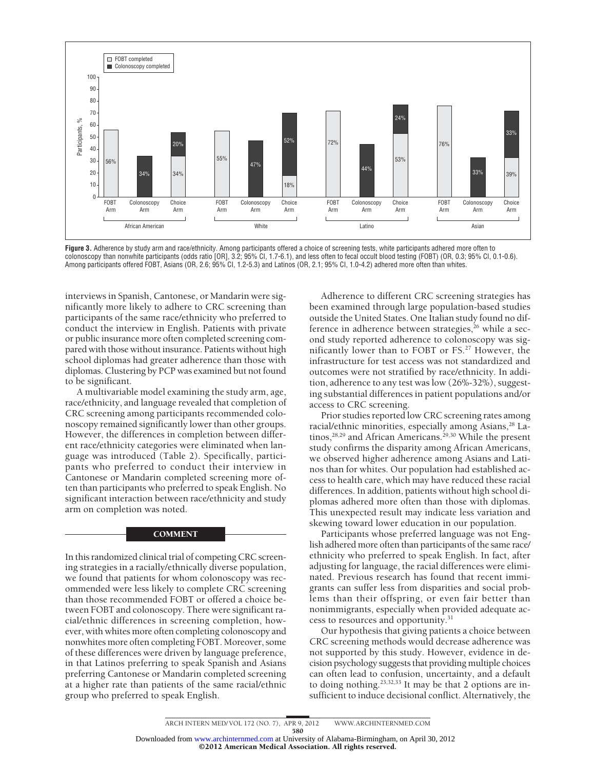

**Figure 3.** Adherence by study arm and race/ethnicity. Among participants offered a choice of screening tests, white participants adhered more often to colonoscopy than nonwhite participants (odds ratio [OR], 3.2; 95% CI, 1.7-6.1), and less often to fecal occult blood testing (FOBT) (OR, 0.3; 95% CI, 0.1-0.6). Among participants offered FOBT, Asians (OR, 2.6; 95% CI, 1.2-5.3) and Latinos (OR, 2.1; 95% CI, 1.0-4.2) adhered more often than whites.

interviews in Spanish, Cantonese, or Mandarin were significantly more likely to adhere to CRC screening than participants of the same race/ethnicity who preferred to conduct the interview in English. Patients with private or public insurance more often completed screening compared with those without insurance. Patients without high school diplomas had greater adherence than those with diplomas. Clustering by PCP was examined but not found to be significant.

A multivariable model examining the study arm, age, race/ethnicity, and language revealed that completion of CRC screening among participants recommended colonoscopy remained significantly lower than other groups. However, the differences in completion between different race/ethnicity categories were eliminated when language was introduced (Table 2). Specifically, participants who preferred to conduct their interview in Cantonese or Mandarin completed screening more often than participants who preferred to speak English. No significant interaction between race/ethnicity and study arm on completion was noted.

### **COMMENT**

In this randomized clinical trial of competing CRC screening strategies in a racially/ethnically diverse population, we found that patients for whom colonoscopy was recommended were less likely to complete CRC screening than those recommended FOBT or offered a choice between FOBT and colonoscopy. There were significant racial/ethnic differences in screening completion, however, with whites more often completing colonoscopy and nonwhites more often completing FOBT. Moreover, some of these differences were driven by language preference, in that Latinos preferring to speak Spanish and Asians preferring Cantonese or Mandarin completed screening at a higher rate than patients of the same racial/ethnic group who preferred to speak English.

Adherence to different CRC screening strategies has been examined through large population-based studies outside the United States. One Italian study found no difference in adherence between strategies,<sup>26</sup> while a second study reported adherence to colonoscopy was significantly lower than to FOBT or FS.<sup>27</sup> However, the infrastructure for test access was not standardized and outcomes were not stratified by race/ethnicity. In addition, adherence to any test was low (26%-32%), suggesting substantial differences in patient populations and/or access to CRC screening.

Prior studies reported low CRC screening rates among racial/ethnic minorities, especially among Asians,<sup>28</sup> Latinos,<sup>28,29</sup> and African Americans.<sup>29,30</sup> While the present study confirms the disparity among African Americans, we observed higher adherence among Asians and Latinos than for whites. Our population had established access to health care, which may have reduced these racial differences. In addition, patients without high school diplomas adhered more often than those with diplomas. This unexpected result may indicate less variation and skewing toward lower education in our population.

Participants whose preferred language was not English adhered more often than participants of the same race/ ethnicity who preferred to speak English. In fact, after adjusting for language, the racial differences were eliminated. Previous research has found that recent immigrants can suffer less from disparities and social problems than their offspring, or even fair better than nonimmigrants, especially when provided adequate access to resources and opportunity.31

Our hypothesis that giving patients a choice between CRC screening methods would decrease adherence was not supported by this study. However, evidence in decision psychology suggests that providing multiple choices can often lead to confusion, uncertainty, and a default to doing nothing.23,32,33 It may be that 2 options are insufficient to induce decisional conflict. Alternatively, the

580

ARCH INTERN MED/ VOL 172 (NO. 7), APR 9, 2012 WWW.ARCHINTERNMED.COM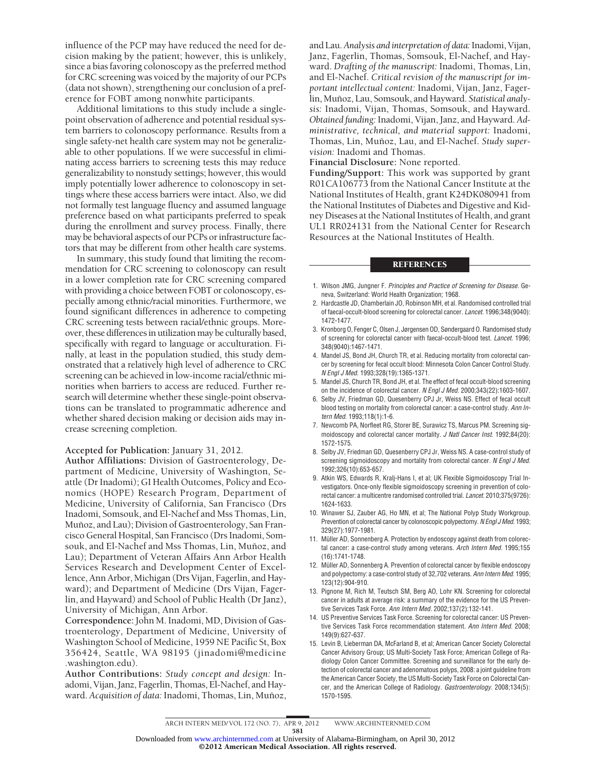influence of the PCP may have reduced the need for decision making by the patient; however, this is unlikely, since a bias favoring colonoscopy as the preferred method for CRC screening was voiced by the majority of our PCPs (data not shown), strengthening our conclusion of a preference for FOBT among nonwhite participants.

Additional limitations to this study include a singlepoint observation of adherence and potential residual system barriers to colonoscopy performance. Results from a single safety-net health care system may not be generalizable to other populations. If we were successful in eliminating access barriers to screening tests this may reduce generalizability to nonstudy settings; however, this would imply potentially lower adherence to colonoscopy in settings where these access barriers were intact. Also, we did not formally test language fluency and assumed language preference based on what participants preferred to speak during the enrollment and survey process. Finally, there may be behavioral aspects of our PCPs or infrastructure factors that may be different from other health care systems.

In summary, this study found that limiting the recommendation for CRC screening to colonoscopy can result in a lower completion rate for CRC screening compared with providing a choice between FOBT or colonoscopy, especially among ethnic/racial minorities. Furthermore, we found significant differences in adherence to competing CRC screening tests between racial/ethnic groups. Moreover, these differences in utilization may be culturally based, specifically with regard to language or acculturation. Finally, at least in the population studied, this study demonstrated that a relatively high level of adherence to CRC screening can be achieved in low-income racial/ethnic minorities when barriers to access are reduced. Further research will determine whether these single-point observations can be translated to programmatic adherence and whether shared decision making or decision aids may increase screening completion.

#### **Accepted for Publication:** January 31, 2012.

**Author Affiliations:** Division of Gastroenterology, Department of Medicine, University of Washington, Seattle (Dr Inadomi); GI Health Outcomes, Policy and Economics (HOPE) Research Program, Department of Medicine, University of California, San Francisco (Drs Inadomi, Somsouk, and El-Nachef and Mss Thomas, Lin, Muñoz, and Lau); Division of Gastroenterology, San Francisco General Hospital, San Francisco (Drs Inadomi, Somsouk, and El-Nachef and Mss Thomas, Lin, Muñoz, and Lau); Department of Veteran Affairs Ann Arbor Health Services Research and Development Center of Excellence, Ann Arbor, Michigan (Drs Vijan, Fagerlin, and Hayward); and Department of Medicine (Drs Vijan, Fagerlin, and Hayward) and School of Public Health (Dr Janz), University of Michigan, Ann Arbor.

**Correspondence:** John M. Inadomi, MD, Division of Gastroenterology, Department of Medicine, University of Washington School of Medicine, 1959 NE Pacific St, Box 356424, Seattle, WA 98195 (jinadomi@medicine .washington.edu).

**Author Contributions:** *Study concept and design:* Inadomi, Vijan, Janz, Fagerlin, Thomas, El-Nachef, and Hayward. *Acquisition of data*: Inadomi, Thomas, Lin, Muñoz,

and Lau.*Analysis and interpretation of data:*Inadomi, Vijan, Janz, Fagerlin, Thomas, Somsouk, El-Nachef, and Hayward. *Drafting of the manuscript:* Inadomi, Thomas, Lin, and El-Nachef. *Critical revision of the manuscript for important intellectual content:* Inadomi, Vijan, Janz, Fagerlin, Muñoz, Lau, Somsouk, and Hayward. *Statistical analysis:* Inadomi, Vijan, Thomas, Somsouk, and Hayward. *Obtained funding:* Inadomi, Vijan, Janz, and Hayward. *Administrative, technical, and material support:* Inadomi, Thomas, Lin, Muñoz, Lau, and El-Nachef. *Study supervision:* Inadomi and Thomas.

**Financial Disclosure:** None reported.

**Funding/Support:** This work was supported by grant R01CA106773 from the National Cancer Institute at the National Institutes of Health, grant K24DK080941 from the National Institutes of Diabetes and Digestive and Kidney Diseases at the National Institutes of Health, and grant UL1 RR024131 from the National Center for Research Resources at the National Institutes of Health.

#### **REFERENCES**

- 1. Wilson JMG, Jungner F. *Principles and Practice of Screening for Disease.* Geneva, Switzerland: World Health Organization; 1968.
- 2. Hardcastle JD, Chamberlain JO, Robinson MH, et al. Randomised controlled trial of faecal-occult-blood screening for colorectal cancer. *Lancet*. 1996;348(9040): 1472-1477.
- 3. Kronborg O, Fenger C, Olsen J, Jørgensen OD, Søndergaard O. Randomised study of screening for colorectal cancer with faecal-occult-blood test. *Lancet*. 1996; 348(9040):1467-1471.
- 4. Mandel JS, Bond JH, Church TR, et al. Reducing mortality from colorectal cancer by screening for fecal occult blood: Minnesota Colon Cancer Control Study. *N Engl J Med*. 1993;328(19):1365-1371.
- 5. Mandel JS, Church TR, Bond JH, et al. The effect of fecal occult-blood screening on the incidence of colorectal cancer. *N Engl J Med*. 2000;343(22):1603-1607.
- 6. Selby JV, Friedman GD, Quesenberry CPJ Jr, Weiss NS. Effect of fecal occult blood testing on mortality from colorectal cancer: a case-control study. *Ann Intern Med*. 1993;118(1):1-6.
- 7. Newcomb PA, Norfleet RG, Storer BE, Surawicz TS, Marcus PM. Screening sigmoidoscopy and colorectal cancer mortality. *J Natl Cancer Inst*. 1992;84(20): 1572-1575.
- 8. Selby JV, Friedman GD, Quesenberry CPJ Jr, Weiss NS. A case-control study of screening sigmoidoscopy and mortality from colorectal cancer. *N Engl J Med*. 1992;326(10):653-657.
- 9. Atkin WS, Edwards R, Kralj-Hans I, et al; UK Flexible Sigmoidoscopy Trial Investigators. Once-only flexible sigmoidoscopy screening in prevention of colorectal cancer: a multicentre randomised controlled trial. *Lancet*. 2010;375(9726): 1624-1633.
- 10. Winawer SJ, Zauber AG, Ho MN, et al; The National Polyp Study Workgroup. Prevention of colorectal cancer by colonoscopic polypectomy. *N Engl J Med*. 1993; 329(27):1977-1981.
- 11. Müller AD, Sonnenberg A. Protection by endoscopy against death from colorectal cancer: a case-control study among veterans. *Arch Intern Med*. 1995;155 (16):1741-1748.
- 12. Müller AD, Sonnenberg A, Prevention of colorectal cancer by flexible endoscopy and polypectomy: a case-control study of 32,702 veterans. *Ann Intern Med*. 1995; 123(12):904-910.
- 13. Pignone M, Rich M, Teutsch SM, Berg AO, Lohr KN. Screening for colorectal cancer in adults at average risk: a summary of the evidence for the US Preventive Services Task Force. *Ann Intern Med*. 2002;137(2):132-141.
- 14. US Preventive Services Task Force. Screening for colorectal cancer: US Preventive Services Task Force recommendation statement. *Ann Intern Med*. 2008; 149(9):627-637.
- 15. Levin B, Lieberman DA, McFarland B, et al; American Cancer Society Colorectal Cancer Advisory Group; US Multi-Society Task Force; American College of Radiology Colon Cancer Committee. Screening and surveillance for the early detection of colorectal cancer and adenomatous polyps, 2008: a joint guideline from the American Cancer Society, the US Multi-Society Task Force on Colorectal Cancer, and the American College of Radiology. *Gastroenterology*. 2008;134(5): 1570-1595.

ARCH INTERN MED/ VOL 172 (NO. 7), APR 9, 2012 WWW.ARCHINTERNMED.COM